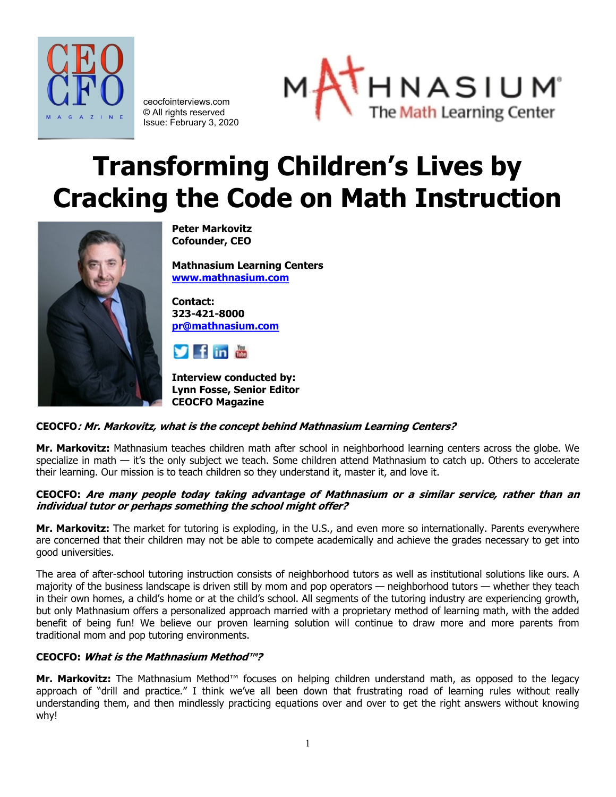

ceocfointerviews.com © All rights reserved Issue: February 3, 2020



# **Transforming Children's Lives by Cracking the Code on Math Instruction**



**Peter Markovitz Cofounder, CEO**

**Mathnasium Learning Centers [www.mathnasium.com](http://www.mathnasium.com/)**

**Contact: 323-421-8000 [pr@mathnasium.com](mailto:pr@mathnasium.com)**



**Interview conducted by: Lynn Fosse, Senior Editor CEOCFO Magazine**

# **CEOCFO: Mr. Markovitz, what is the concept behind Mathnasium Learning Centers?**

**Mr. Markovitz:** Mathnasium teaches children math after school in neighborhood learning centers across the globe. We specialize in math — it's the only subject we teach. Some children attend Mathnasium to catch up. Others to accelerate their learning. Our mission is to teach children so they understand it, master it, and love it.

# **CEOCFO: Are many people today taking advantage of Mathnasium or a similar service, rather than an individual tutor or perhaps something the school might offer?**

**Mr. Markovitz:** The market for tutoring is exploding, in the U.S., and even more so internationally. Parents everywhere are concerned that their children may not be able to compete academically and achieve the grades necessary to get into good universities.

The area of after-school tutoring instruction consists of neighborhood tutors as well as institutional solutions like ours. A majority of the business landscape is driven still by mom and pop operators — neighborhood tutors — whether they teach in their own homes, a child's home or at the child's school. All segments of the tutoring industry are experiencing growth, but only Mathnasium offers a personalized approach married with a proprietary method of learning math, with the added benefit of being fun! We believe our proven learning solution will continue to draw more and more parents from traditional mom and pop tutoring environments.

# **CEOCFO: What is the Mathnasium Method™?**

**Mr. Markovitz:** The Mathnasium Method™ focuses on helping children understand math, as opposed to the legacy approach of "drill and practice." I think we've all been down that frustrating road of learning rules without really understanding them, and then mindlessly practicing equations over and over to get the right answers without knowing why!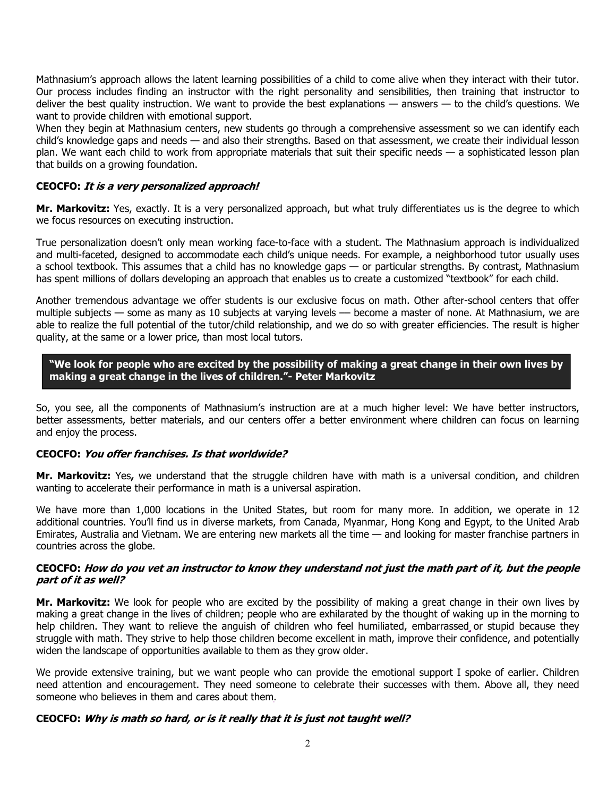Mathnasium's approach allows the latent learning possibilities of a child to come alive when they interact with their tutor. Our process includes finding an instructor with the right personality and sensibilities, then training that instructor to deliver the best quality instruction. We want to provide the best explanations — answers — to the child's questions. We want to provide children with emotional support.

When they begin at Mathnasium centers, new students go through a comprehensive assessment so we can identify each child's knowledge gaps and needs — and also their strengths. Based on that assessment, we create their individual lesson plan. We want each child to work from appropriate materials that suit their specific needs — a sophisticated lesson plan that builds on a growing foundation.

# **CEOCFO: It is a very personalized approach!**

**Mr. Markovitz:** Yes, exactly. It is a very personalized approach, but what truly differentiates us is the degree to which we focus resources on executing instruction.

True personalization doesn't only mean working face-to-face with a student. The Mathnasium approach is individualized and multi-faceted, designed to accommodate each child's unique needs. For example, a neighborhood tutor usually uses a school textbook. This assumes that a child has no knowledge gaps — or particular strengths. By contrast, Mathnasium has spent millions of dollars developing an approach that enables us to create a customized "textbook" for each child.

Another tremendous advantage we offer students is our exclusive focus on math. Other after-school centers that offer multiple subjects — some as many as 10 subjects at varying levels –– become a master of none. At Mathnasium, we are able to realize the full potential of the tutor/child relationship, and we do so with greater efficiencies. The result is higher quality, at the same or a lower price, than most local tutors.

# **"We look for people who are excited by the possibility of making a great change in their own lives by making a great change in the lives of children."- Peter Markovitz**

So, you see, all the components of Mathnasium's instruction are at a much higher level: We have better instructors, better assessments, better materials, and our centers offer a better environment where children can focus on learning and enjoy the process.

# **CEOCFO: You offer franchises. Is that worldwide?**

**Mr. Markovitz:** Yes**,** we understand that the struggle children have with math is a universal condition, and children wanting to accelerate their performance in math is a universal aspiration.

We have more than 1,000 locations in the United States, but room for many more. In addition, we operate in 12 additional countries. You'll find us in diverse markets, from Canada, Myanmar, Hong Kong and Egypt, to the United Arab Emirates, Australia and Vietnam. We are entering new markets all the time — and looking for master franchise partners in countries across the globe.

#### **CEOCFO: How do you vet an instructor to know they understand not just the math part of it, but the people part of it as well?**

**Mr. Markovitz:** We look for people who are excited by the possibility of making a great change in their own lives by making a great change in the lives of children; people who are exhilarated by the thought of waking up in the morning to help children. They want to relieve the anguish of children who feel humiliated, embarrassed or stupid because they struggle with math. They strive to help those children become excellent in math, improve their confidence, and potentially widen the landscape of opportunities available to them as they grow older.

We provide extensive training, but we want people who can provide the emotional support I spoke of earlier. Children need attention and encouragement. They need someone to celebrate their successes with them. Above all, they need someone who believes in them and cares about them.

# **CEOCFO: Why is math so hard, or is it really that it is just not taught well?**